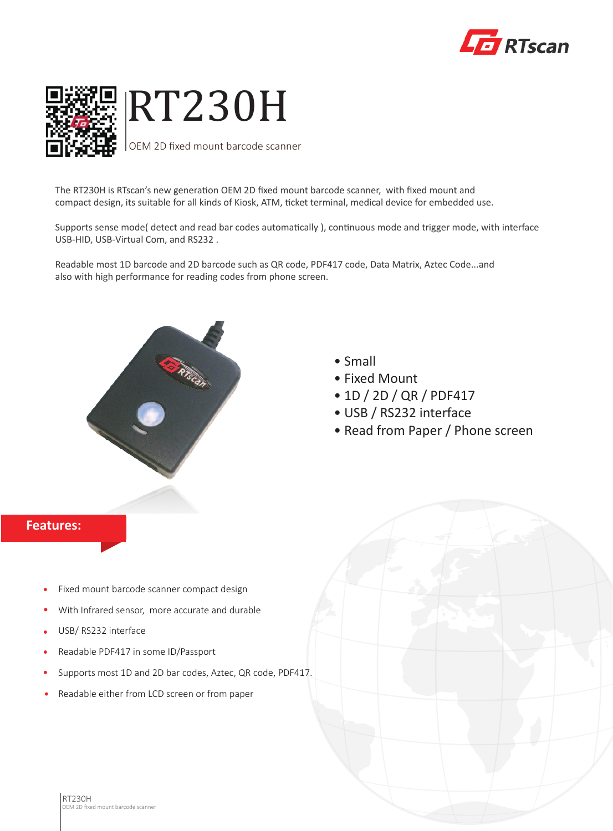



The RT230H is RTscan's new generation OEM 2D fixed mount barcode scanner, with fixed mount and compact design, its suitable for all kinds of Kiosk, ATM, ticket terminal, medical device for embedded use.

Supports sense mode( detect and read bar codes automatically ), continuous mode and trigger mode, with interface USB-HID, USB-Virtual Com, and RS232 .

Readable most 1D barcode and 2D barcode such as QR code, PDF417 code, Data Matrix, Aztec Code...and also with high performance for reading codes from phone screen.



- Small
- Fixed Mount
- 1D / 2D / QR / PDF417
- USB / RS232 interface
- Read from Paper / Phone screen

## **Features:**

- Fixed mount barcode scanner compact design
- With Infrared sensor, more accurate and durable
- USB/ RS232 interface
- Readable PDF417 in some ID/Passport
- Supports most 1D and 2D bar codes, Aztec, QR code, PDF417.
- Readable either from LCD screen or from paper $\bullet$